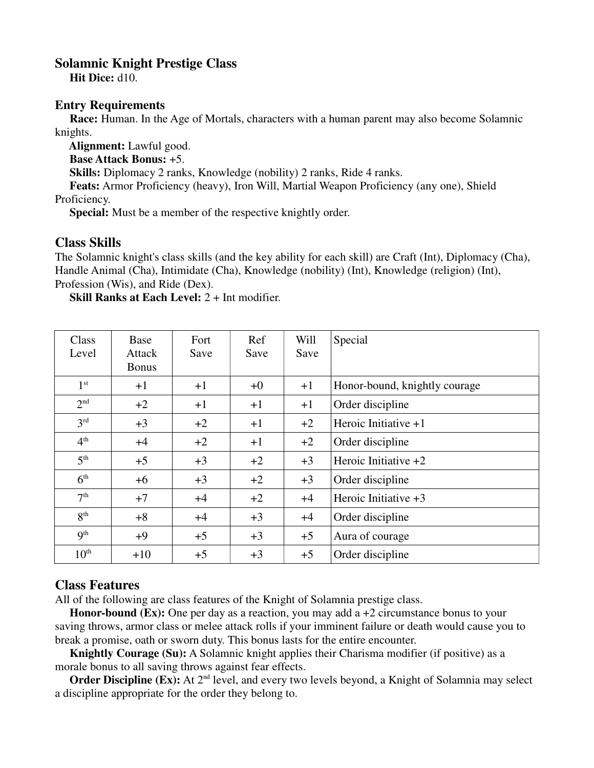## **Solamnic Knight Prestige Class**

 **Hit Dice:** d10.

## **Entry Requirements**

 **Race:** Human. In the Age of Mortals, characters with a human parent may also become Solamnic knights.

 **Alignment:** Lawful good.

 **Base Attack Bonus:** +5.

**Skills:** Diplomacy 2 ranks, Knowledge (nobility) 2 ranks, Ride 4 ranks.

 **Feats:** Armor Proficiency (heavy), Iron Will, Martial Weapon Proficiency (any one), Shield Proficiency.

 **Special:** Must be a member of the respective knightly order.

## **Class Skills**

The Solamnic knight's class skills (and the key ability for each skill) are Craft (Int), Diplomacy (Cha), Handle Animal (Cha), Intimidate (Cha), Knowledge (nobility) (Int), Knowledge (religion) (Int), Profession (Wis), and Ride (Dex).

 **Skill Ranks at Each Level:** 2 + Int modifier.

| Class<br>Level   | Base<br>Attack<br><b>Bonus</b> | Fort<br>Save | Ref<br>Save | Will<br>Save | Special                       |
|------------------|--------------------------------|--------------|-------------|--------------|-------------------------------|
| 1 <sup>st</sup>  | $+1$                           | $+1$         | $+0$        | $+1$         | Honor-bound, knightly courage |
| 2 <sup>nd</sup>  | $+2$                           | $+1$         | $+1$        | $+1$         | Order discipline              |
| 3 <sup>rd</sup>  | $+3$                           | $+2$         | $+1$        | $+2$         | Heroic Initiative $+1$        |
| 4 <sup>th</sup>  | $+4$                           | $+2$         | $+1$        | $+2$         | Order discipline              |
| 5 <sup>th</sup>  | $+5$                           | $+3$         | $+2$        | $+3$         | Heroic Initiative $+2$        |
| 6 <sup>th</sup>  | $+6$                           | $+3$         | $+2$        | $+3$         | Order discipline              |
| 7 <sup>th</sup>  | $+7$                           | $+4$         | $+2$        | $+4$         | Heroic Initiative $+3$        |
| 8 <sup>th</sup>  | $+8$                           | $+4$         | $+3$        | $+4$         | Order discipline              |
| 9 <sup>th</sup>  | $+9$                           | $+5$         | $+3$        | $+5$         | Aura of courage               |
| 10 <sup>th</sup> | $+10$                          | $+5$         | $+3$        | $+5$         | Order discipline              |

## **Class Features**

All of the following are class features of the Knight of Solamnia prestige class.

**Honor-bound (Ex):** One per day as a reaction, you may add a +2 circumstance bonus to your saving throws, armor class or melee attack rolls if your imminent failure or death would cause you to break a promise, oath or sworn duty. This bonus lasts for the entire encounter.

**Knightly Courage (Su):** A Solamnic knight applies their Charisma modifier (if positive) as a morale bonus to all saving throws against fear effects.

**Order Discipline (Ex):** At 2<sup>nd</sup> level, and every two levels beyond, a Knight of Solamnia may select a discipline appropriate for the order they belong to.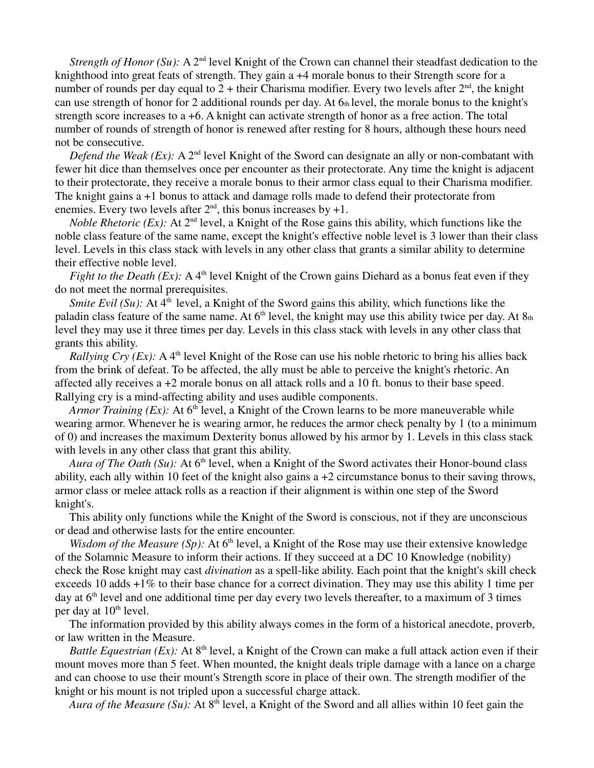*Strength of Honor (Su):* A 2<sup>nd</sup> level Knight of the Crown can channel their steadfast dedication to the knighthood into great feats of strength. They gain a +4 morale bonus to their Strength score for a number of rounds per day equal to  $2 +$  their Charisma modifier. Every two levels after  $2<sup>nd</sup>$ , the knight can use strength of honor for 2 additional rounds per day. At  $6<sub>th</sub>$  level, the morale bonus to the knight's strength score increases to a +6. A knight can activate strength of honor as a free action. The total number of rounds of strength of honor is renewed after resting for 8 hours, although these hours need not be consecutive.

*Defend the Weak (Ex):* A 2<sup>nd</sup> level Knight of the Sword can designate an ally or non-combatant with fewer hit dice than themselves once per encounter as their protectorate. Any time the knight is adjacent to their protectorate, they receive a morale bonus to their armor class equal to their Charisma modifier. The knight gains a +1 bonus to attack and damage rolls made to defend their protectorate from enemies. Every two levels after  $2<sup>nd</sup>$ , this bonus increases by +1.

*Noble Rhetoric (Ex):* At 2<sup>nd</sup> level, a Knight of the Rose gains this ability, which functions like the noble class feature of the same name, except the knight's effective noble level is 3 lower than their class level. Levels in this class stack with levels in any other class that grants a similar ability to determine their effective noble level.

*Fight to the Death (Ex):* A 4<sup>th</sup> level Knight of the Crown gains Diehard as a bonus feat even if they do not meet the normal prerequisites.

*Smite Evil* (Su): At 4<sup>th</sup> level, a Knight of the Sword gains this ability, which functions like the paladin class feature of the same name. At  $6<sup>th</sup>$  level, the knight may use this ability twice per day. At  $8<sub>th</sub>$ level they may use it three times per day. Levels in this class stack with levels in any other class that grants this ability.

*Rallying Cry (Ex):* A 4<sup>th</sup> level Knight of the Rose can use his noble rhetoric to bring his allies back from the brink of defeat. To be affected, the ally must be able to perceive the knight's rhetoric. An affected ally receives a +2 morale bonus on all attack rolls and a 10 ft. bonus to their base speed. Rallying cry is a mind-affecting ability and uses audible components.

*Armor Training (Ex):* At  $6<sup>th</sup>$  level, a Knight of the Crown learns to be more maneuverable while wearing armor. Whenever he is wearing armor, he reduces the armor check penalty by 1 (to a minimum of 0) and increases the maximum Dexterity bonus allowed by his armor by 1. Levels in this class stack with levels in any other class that grant this ability.

*Aura of The Oath (Su):* At 6<sup>th</sup> level, when a Knight of the Sword activates their Honor-bound class ability, each ally within 10 feet of the knight also gains a +2 circumstance bonus to their saving throws, armor class or melee attack rolls as a reaction if their alignment is within one step of the Sword knight's.

 This ability only functions while the Knight of the Sword is conscious, not if they are unconscious or dead and otherwise lasts for the entire encounter.

*Wisdom of the Measure (Sp):* At  $6<sup>th</sup>$  level, a Knight of the Rose may use their extensive knowledge of the Solamnic Measure to inform their actions. If they succeed at a DC 10 Knowledge (nobility) check the Rose knight may cast *divination* as a spell-like ability. Each point that the knight's skill check exceeds 10 adds +1% to their base chance for a correct divination. They may use this ability 1 time per day at  $6<sup>th</sup>$  level and one additional time per day every two levels thereafter, to a maximum of 3 times per day at  $10<sup>th</sup>$  level.

 The information provided by this ability always comes in the form of a historical anecdote, proverb, or law written in the Measure.

*Battle Equestrian (Ex):* At  $8<sup>th</sup>$  level, a Knight of the Crown can make a full attack action even if their mount moves more than 5 feet. When mounted, the knight deals triple damage with a lance on a charge and can choose to use their mount's Strength score in place of their own. The strength modifier of the knight or his mount is not tripled upon a successful charge attack.

*Aura of the Measure (Su):* At 8<sup>th</sup> level, a Knight of the Sword and all allies within 10 feet gain the